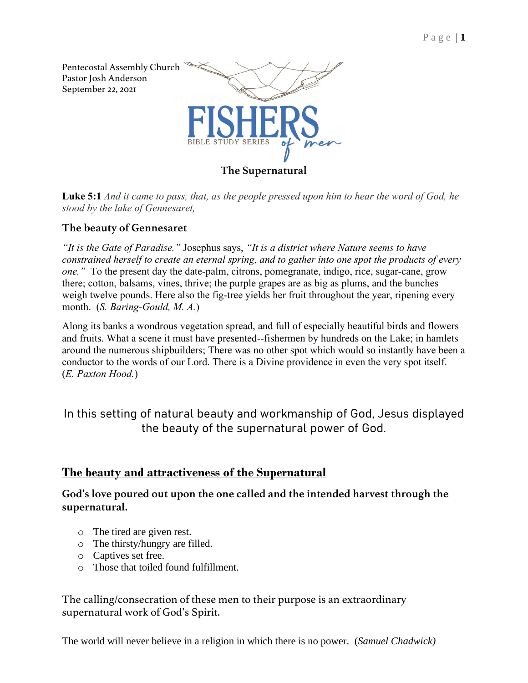

**Luke 5:1** *And it came to pass, that, as the people pressed upon him to hear the word of God, he stood by the lake of Gennesaret,*

#### **The beauty of Gennesaret**

*"It is the Gate of Paradise."* Josephus says, *"It is a district where Nature seems to have constrained herself to create an eternal spring, and to gather into one spot the products of every one."* To the present day the date-palm, citrons, pomegranate, indigo, rice, sugar-cane, grow there; cotton, balsams, vines, thrive; the purple grapes are as big as plums, and the bunches weigh twelve pounds. Here also the fig-tree yields her fruit throughout the year, ripening every month. (*S. Baring-Gould, M. A.*)

Along its banks a wondrous vegetation spread, and full of especially beautiful birds and flowers and fruits. What a scene it must have presented--fishermen by hundreds on the Lake; in hamlets around the numerous shipbuilders; There was no other spot which would so instantly have been a conductor to the words of our Lord. There is a Divine providence in even the very spot itself. (*E. Paxton Hood.*)

In this setting of natural beauty and workmanship of God, Jesus displayed the beauty of the supernatural power of God.

### **The beauty and attractiveness of the Supernatural**

**God's love poured out upon the one called and the intended harvest through the supernatural.** 

- o The tired are given rest.
- o The thirsty/hungry are filled.
- o Captives set free.
- o Those that toiled found fulfillment.

The calling/consecration of these men to their purpose is an extraordinary supernatural work of God's Spirit.

[The world will never believe in a religion in which there is no power.](https://www.azquotes.com/quote/818166?ref=supernatural-powers) (*Samuel Chadwick)*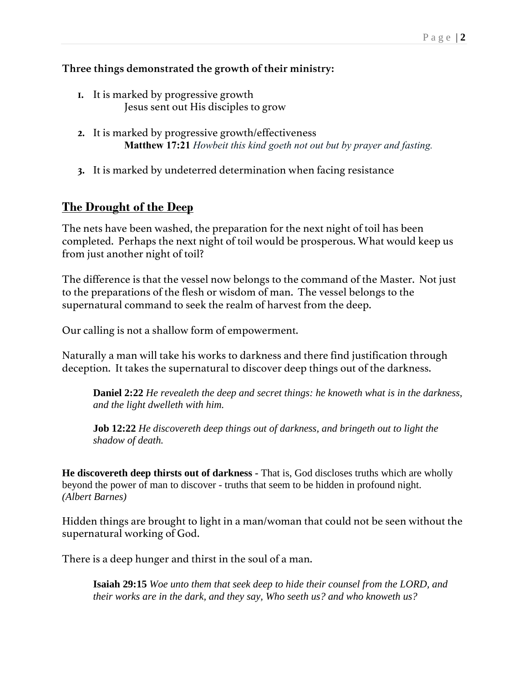### **Three things demonstrated the growth of their ministry:**

- **1.** It is marked by progressive growth Jesus sent out His disciples to grow
- **2.** It is marked by progressive growth/effectiveness **Matthew 17:21** *Howbeit this kind goeth not out but by prayer and fasting.*
- **3.** It is marked by undeterred determination when facing resistance

## **The Drought of the Deep**

The nets have been washed, the preparation for the next night of toil has been completed. Perhaps the next night of toil would be prosperous. What would keep us from just another night of toil?

The difference is that the vessel now belongs to the command of the Master. Not just to the preparations of the flesh or wisdom of man. The vessel belongs to the supernatural command to seek the realm of harvest from the deep.

Our calling is not a shallow form of empowerment.

Naturally a man will take his works to darkness and there find justification through deception. It takes the supernatural to discover deep things out of the darkness.

**Daniel 2:22** *He revealeth the deep and secret things: he knoweth what is in the darkness, and the light dwelleth with him.* 

**Job 12:22** *He discovereth deep things out of darkness, and bringeth out to light the shadow of death.* 

**He discovereth deep thirsts out of darkness -** That is, God discloses truths which are wholly beyond the power of man to discover - truths that seem to be hidden in profound night. *(Albert Barnes)*

Hidden things are brought to light in a man/woman that could not be seen without the supernatural working of God.

There is a deep hunger and thirst in the soul of a man.

**Isaiah 29:15** *Woe unto them that seek deep to hide their counsel from the LORD, and their works are in the dark, and they say, Who seeth us? and who knoweth us?*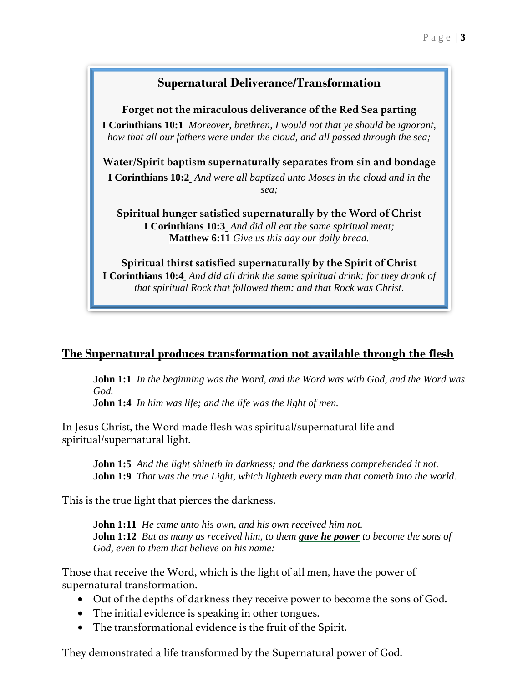## **Supernatural Deliverance/Transformation**

**Forget not the miraculous deliverance of the Red Sea parting [I Corinthians](verseid:46.10.1) 10:1** *Moreover, brethren, I would not that ye should be ignorant,* 

*how that all our fathers were under the cloud, and all passed through the sea;*

**Water/Spirit baptism supernaturally separates from sin and bondage**

**[I Corinthians 10:2](verseid:46.10.2)** *And were all baptized unto Moses in the cloud and in the sea;*

**Spiritual hunger satisfied supernaturally by the Word of Christ [I Corinthians 10:3](verseid:46.10.3)** *And did all eat the same spiritual meat;* **Matthew 6:11** *Give us this day our daily bread.*

**Spiritual thirst satisfied supernaturally by the Spirit of Christ [I Corinthians 10:4](verseid:46.10.4)** *And did all drink the same spiritual drink: for they drank of that spiritual Rock that followed them: and that Rock was Christ.*

# **The Supernatural produces transformation not available through the flesh**

**John 1:1** *In the beginning was the Word, and the Word was with God, and the Word was God.*

**John 1:4** *In him was life; and the life was the light of men.*

In Jesus Christ, the Word made flesh was spiritual/supernatural life and spiritual/supernatural light.

**John 1:5** *And the light shineth in darkness; and the darkness comprehended it not.* **John 1:9** *That was the true Light, which lighteth every man that cometh into the world.*

This is the true light that pierces the darkness.

**John 1:11** *He came unto his own, and his own received him not.* **John 1:12** *But as many as received him, to them gave he power to become the sons of God, even to them that believe on his name:*

Those that receive the Word, which is the light of all men, have the power of supernatural transformation.

- Out of the depths of darkness they receive power to become the sons of God.
- The initial evidence is speaking in other tongues.
- The transformational evidence is the fruit of the Spirit.

They demonstrated a life transformed by the Supernatural power of God.